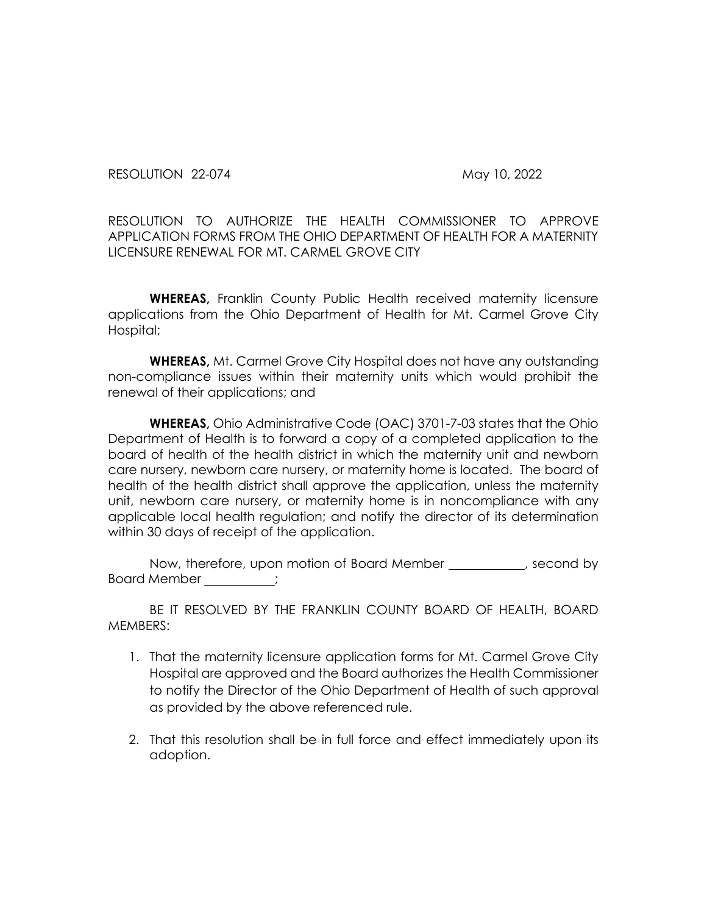RESOLUTION 22-074 May 10, 2022

RESOLUTION TO AUTHORIZE THE HEALTH COMMISSIONER TO APPROVE APPLICATION FORMS FROM THE OHIO DEPARTMENT OF HEALTH FOR A MATERNITY LICENSURE RENEWAL FOR MT. CARMEL GROVE CITY

**WHEREAS,** Franklin County Public Health received maternity licensure applications from the Ohio Department of Health for Mt. Carmel Grove City Hospital;

**WHEREAS,** Mt. Carmel Grove City Hospital does not have any outstanding non-compliance issues within their maternity units which would prohibit the renewal of their applications; and

**WHEREAS,** Ohio Administrative Code (OAC) 3701-7-03 states that the Ohio Department of Health is to forward a copy of a completed application to the board of health of the health district in which the maternity unit and newborn care nursery, newborn care nursery, or maternity home is located. The board of health of the health district shall approve the application, unless the maternity unit, newborn care nursery, or maternity home is in noncompliance with any applicable local health regulation; and notify the director of its determination within 30 days of receipt of the application.

Now, therefore, upon motion of Board Member \_\_\_\_\_\_\_\_, second by Board Member \_\_\_\_\_\_\_;

BE IT RESOLVED BY THE FRANKLIN COUNTY BOARD OF HEALTH, BOARD MEMBERS:

- 1. That the maternity licensure application forms for Mt. Carmel Grove City Hospital are approved and the Board authorizes the Health Commissioner to notify the Director of the Ohio Department of Health of such approval as provided by the above referenced rule.
- 2. That this resolution shall be in full force and effect immediately upon its adoption.